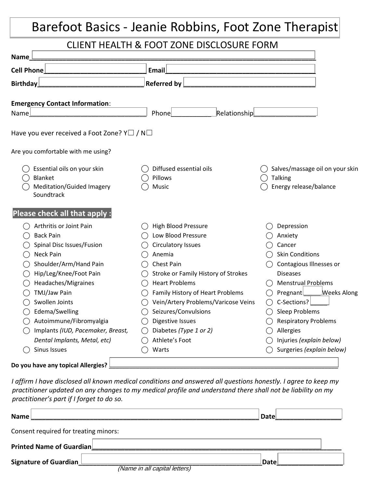### Barefoot Basics - Jeanie Robbins, Foot Zone Therapist

#### CLIENT HEALTH & FOOT ZONE DISCLOSURE FORM

| Name                                                                                                                                                                                                                                                                                                                                 |                                                                                                                                                                                                                                                                                                                                                         |                                                                                                                                                                                                                                                                                                              |
|--------------------------------------------------------------------------------------------------------------------------------------------------------------------------------------------------------------------------------------------------------------------------------------------------------------------------------------|---------------------------------------------------------------------------------------------------------------------------------------------------------------------------------------------------------------------------------------------------------------------------------------------------------------------------------------------------------|--------------------------------------------------------------------------------------------------------------------------------------------------------------------------------------------------------------------------------------------------------------------------------------------------------------|
| <b>Cell Phone</b>                                                                                                                                                                                                                                                                                                                    | Email                                                                                                                                                                                                                                                                                                                                                   |                                                                                                                                                                                                                                                                                                              |
| <b>Birthday</b>                                                                                                                                                                                                                                                                                                                      | <b>Referred by</b>                                                                                                                                                                                                                                                                                                                                      |                                                                                                                                                                                                                                                                                                              |
| <b>Emergency Contact Information:</b><br>Name                                                                                                                                                                                                                                                                                        | Relationship<br>Phone                                                                                                                                                                                                                                                                                                                                   |                                                                                                                                                                                                                                                                                                              |
| Have you ever received a Foot Zone? Y $\Box$ / N $\Box$                                                                                                                                                                                                                                                                              |                                                                                                                                                                                                                                                                                                                                                         |                                                                                                                                                                                                                                                                                                              |
| Are you comfortable with me using?                                                                                                                                                                                                                                                                                                   |                                                                                                                                                                                                                                                                                                                                                         |                                                                                                                                                                                                                                                                                                              |
| Essential oils on your skin<br>Blanket<br>Meditation/Guided Imagery<br>Soundtrack                                                                                                                                                                                                                                                    | Diffused essential oils<br>Pillows<br>Music                                                                                                                                                                                                                                                                                                             | Salves/massage oil on your skin<br>Talking<br>Energy release/balance                                                                                                                                                                                                                                         |
| Please check all that apply :                                                                                                                                                                                                                                                                                                        |                                                                                                                                                                                                                                                                                                                                                         |                                                                                                                                                                                                                                                                                                              |
| Arthritis or Joint Pain<br><b>Back Pain</b><br>Spinal Disc Issues/Fusion<br>Neck Pain<br>Shoulder/Arm/Hand Pain<br>Hip/Leg/Knee/Foot Pain<br>Headaches/Migraines<br>TMJ/Jaw Pain<br>Swollen Joints<br>Edema/Swelling<br>Autoimmune/Fibromyalgia<br>Implants (IUD, Pacemaker, Breast,<br>Dental Implants, Metal, etc)<br>Sinus Issues | High Blood Pressure<br>Low Blood Pressure<br><b>Circulatory Issues</b><br>Anemia<br>Chest Pain<br>Stroke or Family History of Strokes<br><b>Heart Problems</b><br>Family History of Heart Problems<br>Vein/Artery Problems/Varicose Veins<br>Seizures/Convulsions<br><b>Digestive Issues</b><br>Diabetes (Type 1 or 2)<br>Athlete's Foot<br>Warts<br>() | Depression<br>Anxiety<br>Cancer<br><b>Skin Conditions</b><br>Contagious Illnesses or<br><b>Diseases</b><br><b>Menstrual Problems</b><br>Pregnant<br><b>Weeks Along</b><br>C-Sections?<br>Sleep Problems<br><b>Respiratory Problems</b><br>Allergies<br>Injuries (explain below)<br>Surgeries (explain below) |
| Do you have any topical Allergies?                                                                                                                                                                                                                                                                                                   |                                                                                                                                                                                                                                                                                                                                                         |                                                                                                                                                                                                                                                                                                              |

*I affirm I have disclosed all known medical conditions and answered all questions honestly. I agree to keep my practitioner updated on any changes to my medical profile and understand there shall not be liability on my practitioner's part if I forget to do so.*

| Name                                                          | Datel |  |  |  |
|---------------------------------------------------------------|-------|--|--|--|
| Consent required for treating minors:                         |       |  |  |  |
| Printed Name of Guardian                                      |       |  |  |  |
| <b>Signature of Guardian</b><br>(Name in all capital letters) | Datel |  |  |  |
|                                                               |       |  |  |  |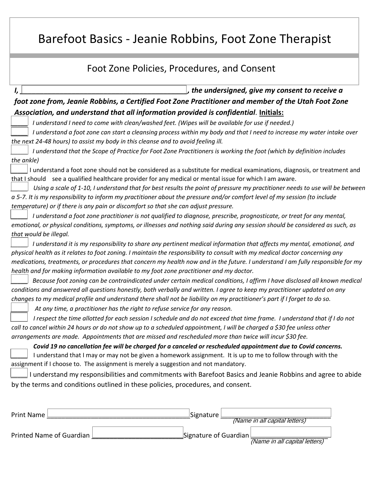### Barefoot Basics - Jeanie Robbins, Foot Zone Therapist

| Foot Zone Policies, Procedures, and Consent                                                                                                                                                                                        |
|------------------------------------------------------------------------------------------------------------------------------------------------------------------------------------------------------------------------------------|
|                                                                                                                                                                                                                                    |
| , the undersigned, give my consent to receive a<br>I,                                                                                                                                                                              |
| foot zone from, Jeanie Robbins, a Certified Foot Zone Practitioner and member of the Utah Foot Zone                                                                                                                                |
| Association, and understand that all information provided is confidential. Initials:                                                                                                                                               |
| I understand I need to come with clean/washed feet. (Wipes will be available for use if needed.)                                                                                                                                   |
| I understand a foot zone can start a cleansing process within my body and that I need to increase my water intake over                                                                                                             |
| the next 24-48 hours) to assist my body in this cleanse and to avoid feeling ill.                                                                                                                                                  |
| I understand that the Scope of Practice for Foot Zone Practitioners is working the foot (which by definition includes                                                                                                              |
| the ankle)                                                                                                                                                                                                                         |
| I understand a foot zone should not be considered as a substitute for medical examinations, diagnosis, or treatment and<br>that I should see a qualified healthcare provider for any medical or mental issue for which I am aware. |
| Using a scale of 1-10, I understand that for best results the point of pressure my practitioner needs to use will be between                                                                                                       |
| a 5-7. It is my responsibility to inform my practitioner about the pressure and/or comfort level of my session (to include                                                                                                         |
| temperature) or if there is any pain or discomfort so that she can adjust pressure.                                                                                                                                                |
| I understand a foot zone practitioner is not qualified to diagnose, prescribe, prognosticate, or treat for any mental,                                                                                                             |
| emotional, or physical conditions, symptoms, or illnesses and nothing said during any session should be considered as such, as                                                                                                     |
| that would be illegal.                                                                                                                                                                                                             |
| I understand it is my responsibility to share any pertinent medical information that affects my mental, emotional, and                                                                                                             |
| physical health as it relates to foot zoning. I maintain the responsibility to consult with my medical doctor concerning any                                                                                                       |
| medications, treatments, or procedures that concern my health now and in the future. I understand I am fully responsible for my                                                                                                    |
| health and for making information available to my foot zone practitioner and my doctor.                                                                                                                                            |
| Because foot zoning can be contraindicated under certain medical conditions, I affirm I have disclosed all known medical                                                                                                           |
| conditions and answered all questions honestly, both verbally and written. I agree to keep my practitioner updated on any                                                                                                          |
| changes to my medical profile and understand there shall not be liability on my practitioner's part if I forget to do so.                                                                                                          |
| At any time, a practitioner has the right to refuse service for any reason.                                                                                                                                                        |
| I respect the time allotted for each session I schedule and do not exceed that time frame. I understand that if I do not                                                                                                           |
| call to cancel within 24 hours or do not show up to a scheduled appointment, I will be charged a \$30 fee unless other                                                                                                             |
| arrangements are made. Appointments that are missed and rescheduled more than twice will incur \$30 fee.                                                                                                                           |
| Covid 19 no cancellation fee will be charged for a canceled or rescheduled appointment due to Covid concerns.                                                                                                                      |
| I understand that I may or may not be given a homework assignment. It is up to me to follow through with the                                                                                                                       |
| assignment if I choose to. The assignment is merely a suggestion and not mandatory.                                                                                                                                                |
| I understand my responsibilities and commitments with Barefoot Basics and Jeanie Robbins and agree to abide                                                                                                                        |
| by the terms and conditions outlined in these policies, procedures, and consent.                                                                                                                                                   |
|                                                                                                                                                                                                                                    |
| Signature<br><b>Print Name</b><br>(Name in all capital letters)                                                                                                                                                                    |

Printed Name of Guardian \_\_\_\_\_\_\_\_\_\_\_\_\_\_\_\_\_\_\_\_\_\_\_\_\_Signature of Guardian \_\_\_\_\_\_\_\_\_\_\_\_\_\_\_\_\_\_\_\_\_ (Name in all capital letters)